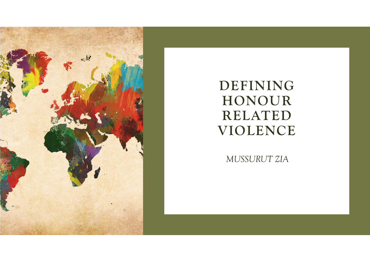

## **DEFINING HONOUR RELATED VIOLENCE**

*MUSSURUT ZIA*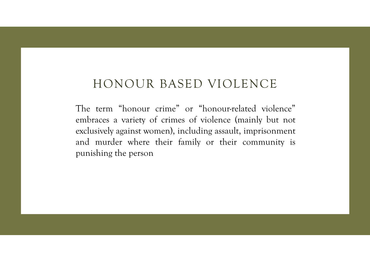#### HONOUR BASED VIOLENCE

The term "honour crime" or "honour-related violence" embraces <sup>a</sup> variety of crimes of violence (mainly but not exclusively against women), including assault, imprisonment and murder where their family or their community is punishing the person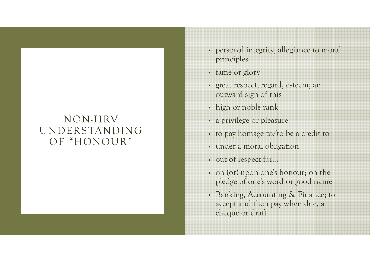#### NON-HRVUNDERSTANDING OF "HONOUR"

- personal integrity; allegiance to moral principles
- fame or glory
- great respect, regard, esteem; an outward sign of this
- high or noble rank
- a privilege or pleasure
- to pay homage to/to be a credit to
- under a moral obligation
- out of respect for…
- on (or) upon one's honour; on the <sup>p</sup>ledge of one's word or good name
- Banking, Accounting & Finance; to accept and then pay when due, a cheque or draft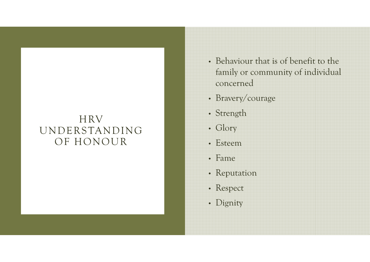#### HRV UNDERSTANDING OF HONOUR

- Behaviour that is of benefit to the family or community of individual concerned
- Bravery/courage
- Strength
- Glory
- Esteem
- Fame
- Reputation
- Respect
- Dignity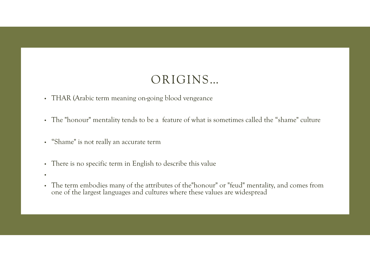#### ORIGINS…

- THAR (Arabic term meaning on-going blood vengeance
- The "honour" mentality tends to be a feature of what is sometimes called the "shame" culture
- "Shame" is not really an accurate term
- There is no specific term in English to describe this value
- •
- The term embodies many of the attributes of the"honour" or "feud" mentality, and comes from one of the largest languages and cultures where these values are widespread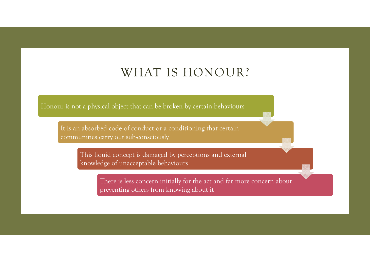#### WHAT IS HONOUR?

Honour is not a physical object that can be broken by certain behaviours

It is an absorbed code of conduct or a conditioning that certain communities carry out sub-consciously

> This liquid concept is damaged by perceptions and external knowledge of unacceptable behaviours

> > There is less concern initially for the act and far more concern about preventing others from knowing about it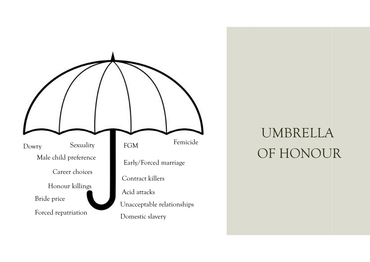

# UMBRELLA OF HONOUR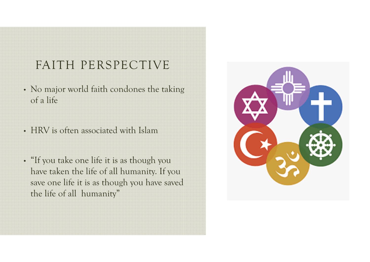## FAITH PERSPECTIVE

- No major world faith condones the taking of a life
- HRV is often associated with Islam
- "If you take one life it is as though you have taken the life of all humanity. If you save one life it is as though you have saved the life of all humanity"

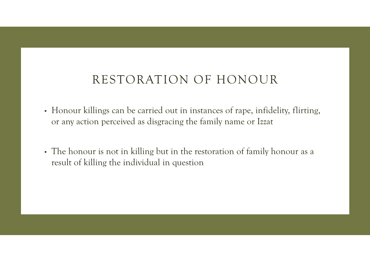#### RESTORATION OF HONOUR

- Honour killings can be carried out in instances of rape, infidelity, flirting, or any action perceived as disgracing the family name or Izzat
- The honour is not in killing but in the restoration of family honour as a result of killing the individual in question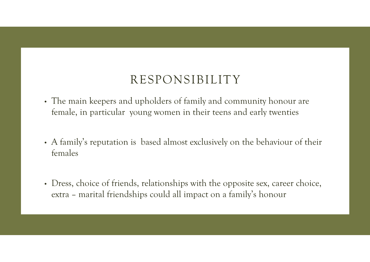#### RESPONSIBILITY

- The main keepers and upholders of family and community honour are female, in particular young women in their teens and early twenties
- A family's reputation is based almost exclusively on the behaviour of their females
- Dress, choice of friends, relationships with the opposite sex, career choice, extra – marital friendships could all impact on a family's honour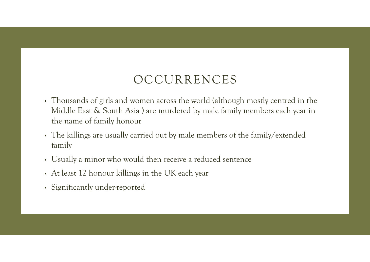## OCCURRENCES

- Thousands of girls and women across the world (although mostly centred in the Middle East & South Asia ) are murdered by male family members each year in the name of family honour
- The killings are usually carried out by male members of the family/extended family
- Usually a minor who would then receive a reduced sentence
- At least 12 honour killings in the UK each year
- Significantly under-reported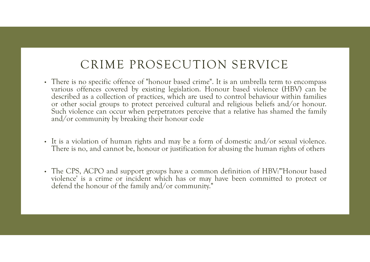## CRIME PROSECUTION SERVICE

- There is no specific offence of "honour based crime". It is an umbrella term to encompass various offences covered by existing legislation. Honour based violence (HBV) can be described as <sup>a</sup> collection of practices, which are used to control behaviour within families or other social groups to protect perceived cultural and religious beliefs and/or honour. Such violence can occur when perpetrators perceive that <sup>a</sup> relative has shamed the family and/or community by breaking their honour code
- It is <sup>a</sup> violation of human rights and may be <sup>a</sup> form of domestic and/or sexual violence. There is no, and cannot be, honour or justification for abusing the human rights of others
- The CPS, ACPO and support groups have <sup>a</sup> common definition of HBV:"'Honour based violence' is <sup>a</sup> crime or incident which has or may have been committed to protect or defend the honour of the family and/or community."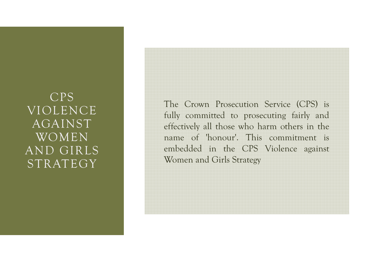#### CPS VIOLENCE AGAINST WOMEN AND GIRLS STRATEGY

The Crown Prosecution Service (CPS) is fully committed to prosecuting fairly and effectively all those who harm others in the name of 'honour'. This commitment is embedded in the CPS Violence against Women and Girls Strategy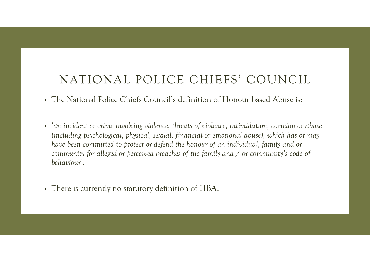#### NATIONAL POLICE CHIEFS' COUNCIL

- The National Police Chiefs Council's definition of Honour based Abuse is:
- '*an incident or crime involving violence, threats of violence, intimidation, coercion or abuse (including psychological, physical, sexual, financial or emotional abuse), which has or may have been committed to protect or defend the honour of an individual, family and or community for alleged or perceived breaches of the family and / or community's code of behaviour'.*
- There is currently no statutory definition of HBA.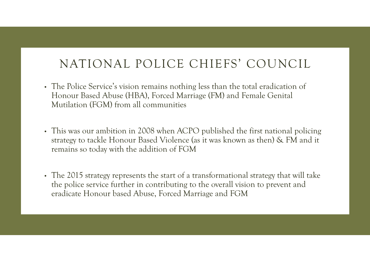## NATIONAL POLICE CHIEFS' COUNCIL

- The Police Service's vision remains nothing less than the total eradication of Honour Based Abuse (HBA), Forced Marriage (FM) and Female Genital Mutilation (FGM) from all communities
- This was our ambition in 2008 when ACPO published the first national policing strategy to tackle Honour Based Violence (as it was known as then) & FM and it remains so today with the addition of FGM
- The 2015 strategy represents the start of a transformational strategy that will take the police service further in contributing to the overall vision to prevent and eradicate Honour based Abuse, Forced Marriage and FGM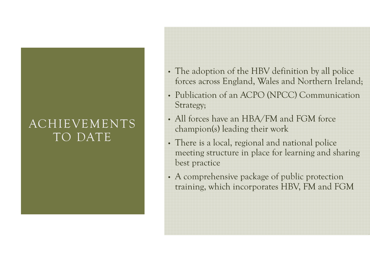#### ACHIEVEMENTS TO DATE

- The adoption of the HBV definition by all police forces across England, Wales and Northern Ireland;
- Publication of an ACPO (NPCC) Communication Strategy;
- All forces have an HBA/FM and FGM force champion(s) leading their work
- There is a local, regional and national police meeting structure in place for learning and sharing best practice
- A comprehensive package of public protection training, which incorporates HBV, FM and FGM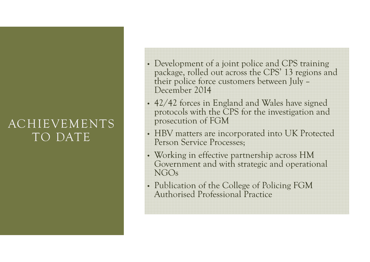#### ACHIEVEMENTS TO DATE

- Development of a joint police and CPS training package, rolled out across the CPS' 13 regions and their police force customers between July – December 2014
- 42/42 forces in England and Wales have signed protocols with the CPS for the investigation and prosecution of FGM
- HBV matters are incorporated into UK Protected Person Service Processes;
- Working in effective partnership across HM Government and with strategic and operational NGOs
- Publication of the College of Policing FGM Authorised Professional Practice